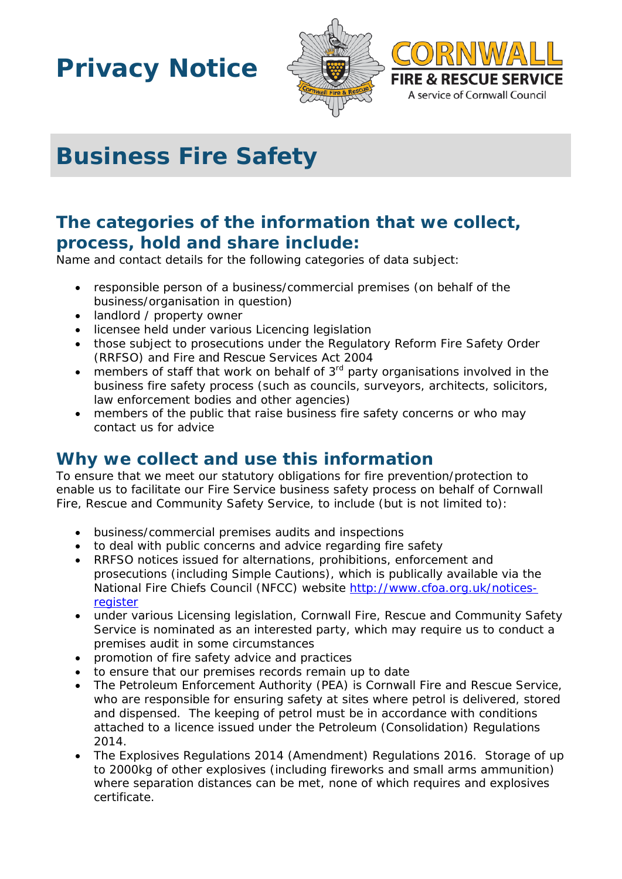## **Privacy Notice**



# **Business Fire Safety**

## **The categories of the information that we collect, process, hold and share include:**

Name and contact details for the following categories of data subject:

- responsible person of a business/commercial premises (on behalf of the business/organisation in question)
- landlord / property owner
- licensee held under various Licencing legislation
- those subject to prosecutions under the Regulatory Reform Fire Safety Order (RRFSO) and Fire and Rescue Services Act 2004
- members of staff that work on behalf of  $3<sup>rd</sup>$  party organisations involved in the business fire safety process (such as councils, surveyors, architects, solicitors, law enforcement bodies and other agencies)
- members of the public that raise business fire safety concerns or who may contact us for advice

## **Why we collect and use this information**

To ensure that we meet our statutory obligations for fire prevention/protection to enable us to facilitate our Fire Service business safety process on behalf of Cornwall Fire, Rescue and Community Safety Service, to include (but is not limited to):

- business/commercial premises audits and inspections
- to deal with public concerns and advice regarding fire safety
- RRFSO notices issued for alternations, prohibitions, enforcement and prosecutions (including Simple Cautions), which is publically available via the National Fire Chiefs Council (NFCC) website [http://www.cfoa.org.uk/notices](http://www.cfoa.org.uk/notices-register)[register](http://www.cfoa.org.uk/notices-register)
- under various Licensing legislation, Cornwall Fire, Rescue and Community Safety Service is nominated as an interested party, which may require us to conduct a premises audit in some circumstances
- promotion of fire safety advice and practices
- to ensure that our premises records remain up to date
- The Petroleum Enforcement Authority (PEA) is Cornwall Fire and Rescue Service, who are responsible for ensuring safety at sites where petrol is delivered, stored and dispensed. The keeping of petrol must be in accordance with conditions attached to a licence issued under the Petroleum (Consolidation) Regulations 2014.
- The Explosives Regulations 2014 (Amendment) Regulations 2016. Storage of up to 2000kg of other explosives (including fireworks and small arms ammunition) where separation distances can be met, none of which requires and explosives certificate.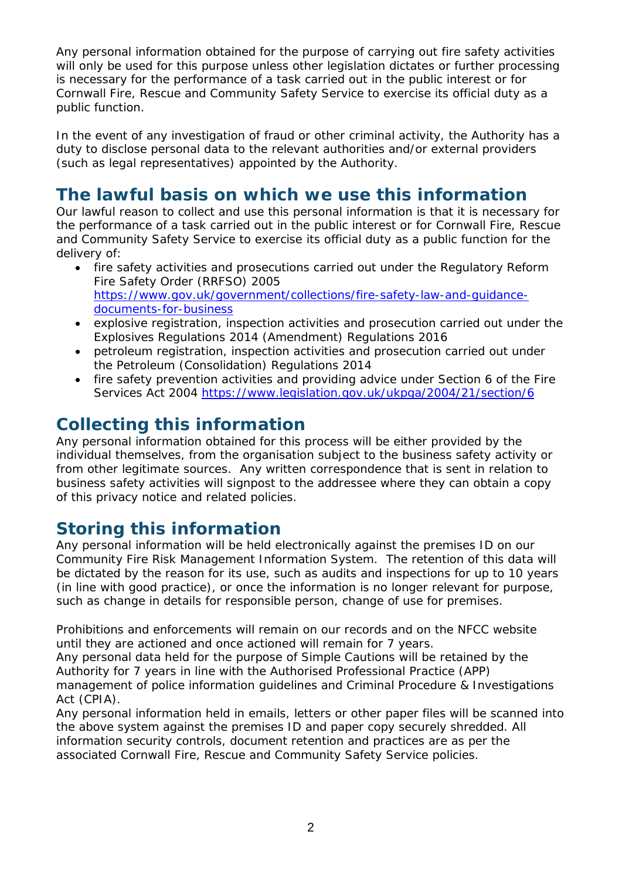Any personal information obtained for the purpose of carrying out fire safety activities will only be used for this purpose unless other legislation dictates or further processing is necessary for the performance of a task carried out in the public interest or for Cornwall Fire, Rescue and Community Safety Service to exercise its official duty as a public function.

In the event of any investigation of fraud or other criminal activity, the Authority has a duty to disclose personal data to the relevant authorities and/or external providers (such as legal representatives) appointed by the Authority.

## **The lawful basis on which we use this information**

Our lawful reason to collect and use this personal information is that it is necessary for the performance of a task carried out in the public interest or for Cornwall Fire, Rescue and Community Safety Service to exercise its official duty as a public function for the delivery of:

- fire safety activities and prosecutions carried out under the Regulatory Reform Fire Safety Order (RRFSO) 2005 [https://www.gov.uk/government/collections/fire-safety-law-and-guidance](https://www.gov.uk/government/collections/fire-safety-law-and-guidance-documents-for-business)[documents-for-business](https://www.gov.uk/government/collections/fire-safety-law-and-guidance-documents-for-business)
- explosive registration, inspection activities and prosecution carried out under the Explosives Regulations 2014 (Amendment) Regulations 2016
- petroleum registration, inspection activities and prosecution carried out under the Petroleum (Consolidation) Regulations 2014
- fire safety prevention activities and providing advice under Section 6 of the Fire Services Act 2004 <https://www.legislation.gov.uk/ukpga/2004/21/section/6>

#### **Collecting this information**

Any personal information obtained for this process will be either provided by the individual themselves, from the organisation subject to the business safety activity or from other legitimate sources. Any written correspondence that is sent in relation to business safety activities will signpost to the addressee where they can obtain a copy of this privacy notice and related policies.

#### **Storing this information**

Any personal information will be held electronically against the premises ID on our Community Fire Risk Management Information System. The retention of this data will be dictated by the reason for its use, such as audits and inspections for up to 10 years (in line with good practice), or once the information is no longer relevant for purpose, such as change in details for responsible person, change of use for premises.

Prohibitions and enforcements will remain on our records and on the NFCC website until they are actioned and once actioned will remain for 7 years.

Any personal data held for the purpose of Simple Cautions will be retained by the Authority for 7 years in line with the Authorised Professional Practice (APP) management of police information guidelines and Criminal Procedure & Investigations Act (CPIA).

Any personal information held in emails, letters or other paper files will be scanned into the above system against the premises ID and paper copy securely shredded. All information security controls, document retention and practices are as per the associated Cornwall Fire, Rescue and Community Safety Service policies.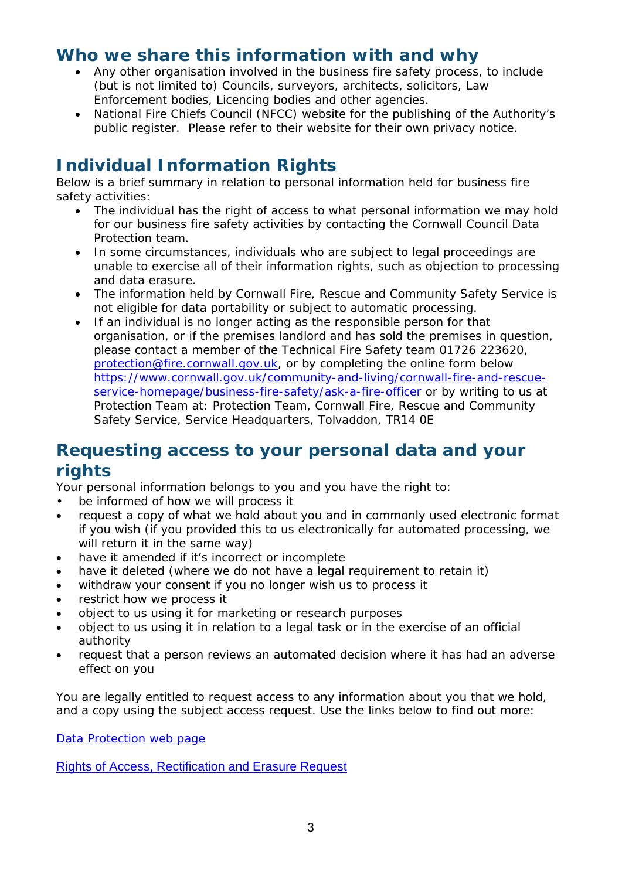#### **Who we share this information with and why**

- Any other organisation involved in the business fire safety process, to include (but is not limited to) Councils, surveyors, architects, solicitors, Law Enforcement bodies, Licencing bodies and other agencies.
- National Fire Chiefs Council (NFCC) website for the publishing of the Authority's public register. Please refer to their website for their own privacy notice.

## **Individual Information Rights**

Below is a brief summary in relation to personal information held for business fire safety activities:

- The individual has the right of access to what personal information we may hold for our business fire safety activities by contacting the Cornwall Council Data Protection team.
- In some circumstances, individuals who are subject to legal proceedings are unable to exercise all of their information rights, such as objection to processing and data erasure.
- The information held by Cornwall Fire, Rescue and Community Safety Service is not eligible for data portability or subject to automatic processing.
- If an individual is no longer acting as the responsible person for that organisation, or if the premises landlord and has sold the premises in question, please contact a member of the Technical Fire Safety team 01726 223620, [protection@fire.cornwall.gov.uk,](mailto:protection@fire.cornwall.gov.uk) or by completing the online form below [https://www.cornwall.gov.uk/community-and-living/cornwall-fire-and-rescue](https://www.cornwall.gov.uk/community-and-living/cornwall-fire-and-rescue-service-homepage/business-fire-safety/ask-a-fire-officer)[service-homepage/business-fire-safety/ask-a-fire-officer](https://www.cornwall.gov.uk/community-and-living/cornwall-fire-and-rescue-service-homepage/business-fire-safety/ask-a-fire-officer) or by writing to us at Protection Team at: Protection Team, Cornwall Fire, Rescue and Community Safety Service, Service Headquarters, Tolvaddon, TR14 0E

#### **Requesting access to your personal data and your rights**

Your personal information belongs to you and you have the right to:

- be informed of how we will process it
- request a copy of what we hold about you and in commonly used electronic format if you wish (if you provided this to us electronically for automated processing, we will return it in the same way)
- have it amended if it's incorrect or incomplete
- have it deleted (where we do not have a legal requirement to retain it)
- withdraw your consent if you no longer wish us to process it
- restrict how we process it
- object to us using it for marketing or research purposes
- object to us using it in relation to a legal task or in the exercise of an official authority
- request that a person reviews an automated decision where it has had an adverse effect on you

You are legally entitled to request access to any information about you that we hold, and a copy using the subject access request. Use the links below to find out more:

[Data Protection web page](http://www.cornwall.gov.uk/council-and-democracy/data-protection-and-freedom-of-information/data-protection)

[Rights of Access, Rectification and Erasure Request](https://www.cornwall.gov.uk/media/33315555/form-2018-rare-form-blank.pdf)